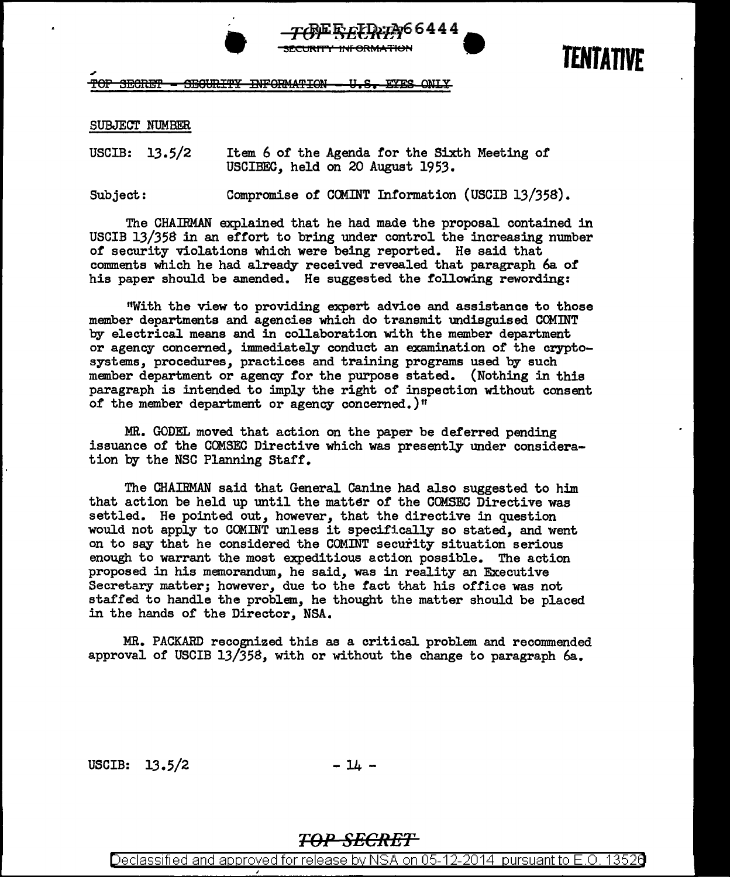

TOF SECRET - SECURITY INFORMATION - U.S. EYES ONLY

## SUBJECT NUMBER

USCIB: 13.5/2 Item 6 of the Agenda for the Sixth Meeting of USCIBEC, held on 20 August 1953.

Subject: Compromise of COMINT Information (USCIB 13/358).

The CHAIRMAN explained that he had made the proposal contained in USCIB 13/358 in an effort to bring under control the increasing number of security violations which were being reported. He said that comments which he had already received revealed that paragraph 6a of his paper should be amended. He suggested the following rewording:

"With the view to providing expert advice and assistance to those member departments and agencies which do transmit undisguised COMINT by electrical means and in collaboration with the member department or agency concerned, immediately conduct an examination of the cryptosystems, procedures, practices and training programs used by such member department or agency for the purpose stated. (Nothing in this paragraph is intended to imply the right of inspection without consent of the member department or agency concerned.)"

MR. GODEL moved that action on the paper be deferred pending issuance of the COMSEC Directive which was presently under consideration by the NSC Planning Staff.

The CHAIRMAN said that General Canine had also suggested to him that action be held up until the matter of the COMSEC Directive was settled. He pointed out, however, that the directive in question would not apply to COMINT unless it specifically so stated, and went on to say that he considered the COMINT security situation serious enough to warrant the most expeditious action possible. The action proposed in his memorandum, he said, was in reality an Executive Secretary matter; however, due to the fact that his office was not staffed to handle the problem, he thought the matter should be placed in the hands of the Director, NSA.

MR. PACKARD recognized this as a critical problem and recommended approval of USCIB 13/358, with or without the change to paragraph  $6a$ .

USCIB:  $13.5/2$  -  $14$  -

## TOP SECRET

Declassified and approved for release by NSA on 05-12-2014 pursuant to E.O. 13526